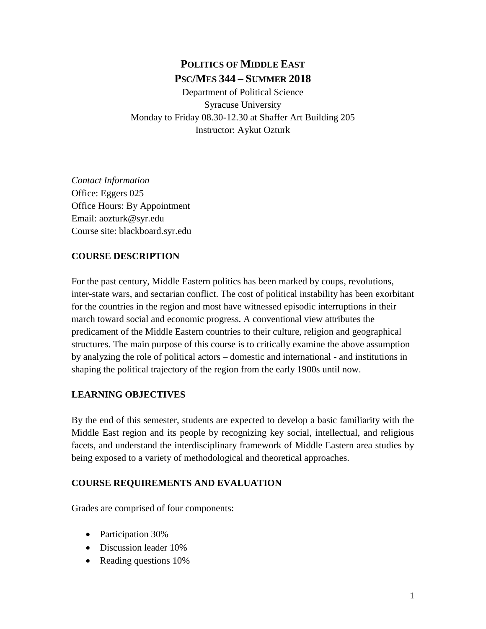# **POLITICS OF MIDDLE EAST PSC/MES 344 – SUMMER 2018**

Department of Political Science Syracuse University Monday to Friday 08.30-12.30 at Shaffer Art Building 205 Instructor: Aykut Ozturk

*Contact Information* Office: Eggers 025 Office Hours: By Appointment Email: aozturk@syr.edu Course site: blackboard.syr.edu

### **COURSE DESCRIPTION**

For the past century, Middle Eastern politics has been marked by coups, revolutions, inter-state wars, and sectarian conflict. The cost of political instability has been exorbitant for the countries in the region and most have witnessed episodic interruptions in their march toward social and economic progress. A conventional view attributes the predicament of the Middle Eastern countries to their culture, religion and geographical structures. The main purpose of this course is to critically examine the above assumption by analyzing the role of political actors – domestic and international - and institutions in shaping the political trajectory of the region from the early 1900s until now.

### **LEARNING OBJECTIVES**

By the end of this semester, students are expected to develop a basic familiarity with the Middle East region and its people by recognizing key social, intellectual, and religious facets, and understand the interdisciplinary framework of Middle Eastern area studies by being exposed to a variety of methodological and theoretical approaches.

### **COURSE REQUIREMENTS AND EVALUATION**

Grades are comprised of four components:

- Participation 30%
- Discussion leader 10%
- Reading questions 10%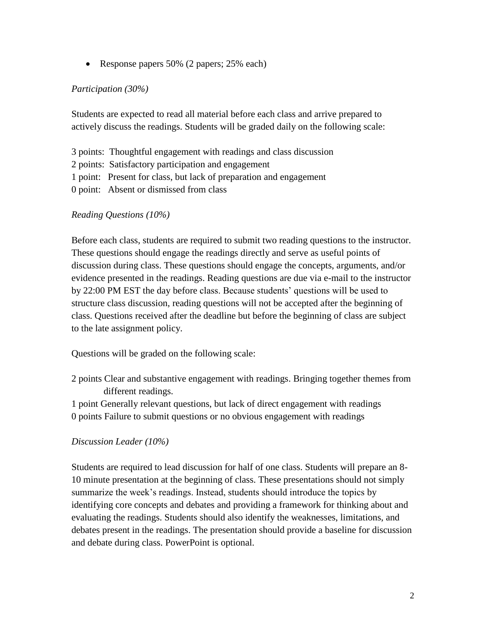• Response papers 50% (2 papers; 25% each)

#### *Participation (30%)*

Students are expected to read all material before each class and arrive prepared to actively discuss the readings. Students will be graded daily on the following scale:

- 3 points: Thoughtful engagement with readings and class discussion
- 2 points: Satisfactory participation and engagement
- 1 point: Present for class, but lack of preparation and engagement
- 0 point: Absent or dismissed from class

#### *Reading Questions (10%)*

Before each class, students are required to submit two reading questions to the instructor. These questions should engage the readings directly and serve as useful points of discussion during class. These questions should engage the concepts, arguments, and/or evidence presented in the readings. Reading questions are due via e-mail to the instructor by 22:00 PM EST the day before class. Because students' questions will be used to structure class discussion, reading questions will not be accepted after the beginning of class. Questions received after the deadline but before the beginning of class are subject to the late assignment policy.

Questions will be graded on the following scale:

- 2 points Clear and substantive engagement with readings. Bringing together themes from different readings.
- 1 point Generally relevant questions, but lack of direct engagement with readings 0 points Failure to submit questions or no obvious engagement with readings

#### *Discussion Leader (10%)*

Students are required to lead discussion for half of one class. Students will prepare an 8- 10 minute presentation at the beginning of class. These presentations should not simply summarize the week's readings. Instead, students should introduce the topics by identifying core concepts and debates and providing a framework for thinking about and evaluating the readings. Students should also identify the weaknesses, limitations, and debates present in the readings. The presentation should provide a baseline for discussion and debate during class. PowerPoint is optional.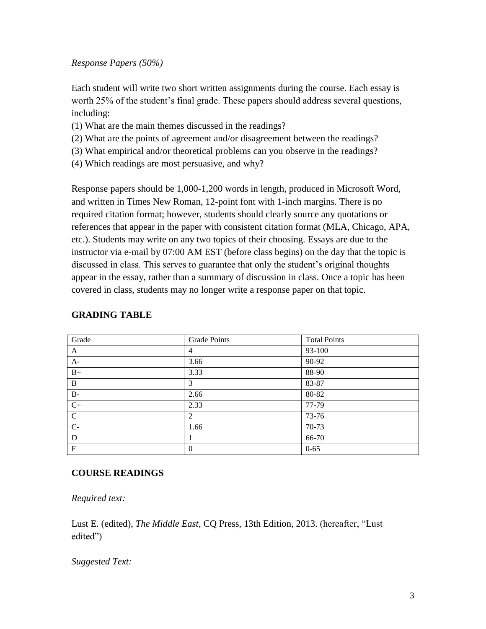#### *Response Papers (50%)*

Each student will write two short written assignments during the course. Each essay is worth 25% of the student's final grade. These papers should address several questions, including:

- (1) What are the main themes discussed in the readings?
- (2) What are the points of agreement and/or disagreement between the readings?
- (3) What empirical and/or theoretical problems can you observe in the readings?
- (4) Which readings are most persuasive, and why?

Response papers should be 1,000-1,200 words in length, produced in Microsoft Word, and written in Times New Roman, 12-point font with 1-inch margins. There is no required citation format; however, students should clearly source any quotations or references that appear in the paper with consistent citation format (MLA, Chicago, APA, etc.). Students may write on any two topics of their choosing. Essays are due to the instructor via e-mail by 07:00 AM EST (before class begins) on the day that the topic is discussed in class. This serves to guarantee that only the student's original thoughts appear in the essay, rather than a summary of discussion in class. Once a topic has been covered in class, students may no longer write a response paper on that topic.

| Grade        | <b>Grade Points</b> | <b>Total Points</b> |
|--------------|---------------------|---------------------|
| A            | $\overline{4}$      | 93-100              |
| $A-$         | 3.66                | 90-92               |
| $B+$         | 3.33                | 88-90               |
| B            | 3                   | 83-87               |
| $B-$         | 2.66                | 80-82               |
| $C+$         | 2.33                | 77-79               |
| $\mathsf{C}$ | 2                   | 73-76               |
| $C-$         | 1.66                | 70-73               |
| D            | л.                  | 66-70               |
| $\mathbf F$  | $\theta$            | $0 - 65$            |

#### **GRADING TABLE**

#### **COURSE READINGS**

*Required text:* 

Lust E. (edited), *The Middle East*, CQ Press, 13th Edition, 2013. (hereafter, "Lust edited")

*Suggested Text:*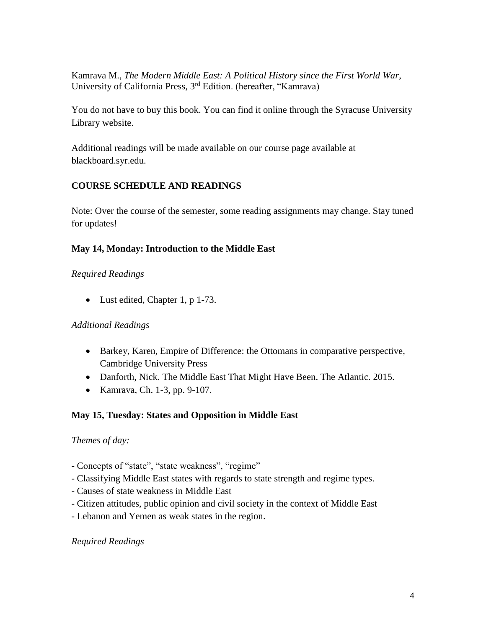Kamrava M., *The Modern Middle East: A Political History since the First World War*, University of California Press, 3rd Edition. (hereafter, "Kamrava)

You do not have to buy this book. You can find it online through the Syracuse University Library website.

Additional readings will be made available on our course page available at blackboard.syr.edu.

#### **COURSE SCHEDULE AND READINGS**

Note: Over the course of the semester, some reading assignments may change. Stay tuned for updates!

#### **May 14, Monday: Introduction to the Middle East**

#### *Required Readings*

• Lust edited, Chapter 1, p 1-73.

#### *Additional Readings*

- Barkey, Karen, Empire of Difference: the Ottomans in comparative perspective, Cambridge University Press
- Danforth, Nick. The Middle East That Might Have Been. The Atlantic. 2015.
- Kamrava, Ch. 1-3, pp. 9-107.

#### **May 15, Tuesday: States and Opposition in Middle East**

#### *Themes of day:*

- Concepts of "state", "state weakness", "regime"
- Classifying Middle East states with regards to state strength and regime types.
- Causes of state weakness in Middle East
- Citizen attitudes, public opinion and civil society in the context of Middle East
- Lebanon and Yemen as weak states in the region.

#### *Required Readings*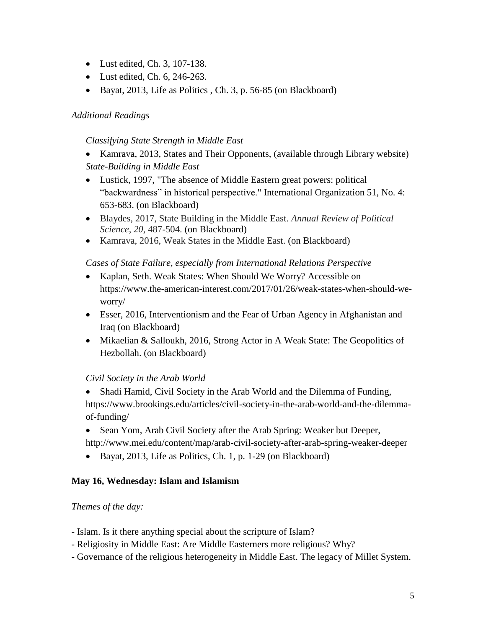- Lust edited, Ch. 3, 107-138.
- Lust edited, Ch. 6, 246-263.
- Bayat, 2013, Life as Politics , Ch. 3, p. 56-85 (on Blackboard)

#### *Additional Readings*

*Classifying State Strength in Middle East*

• Kamrava, 2013, States and Their Opponents, (available through Library website)  *State-Building in Middle East*

- Lustick, 1997, "The absence of Middle Eastern great powers: political "backwardness" in historical perspective." International Organization 51, No. 4: 653-683. (on Blackboard)
- Blaydes, 2017, State Building in the Middle East. *Annual Review of Political Science*, *20*, 487-504. (on Blackboard)
- Kamrava, 2016, Weak States in the Middle East. (on Blackboard)

#### *Cases of State Failure, especially from International Relations Perspective*

- Kaplan, Seth. Weak States: When Should We Worry? Accessible on [https://www.the-american-interest.com/2017/01/26/weak-states-when-should-we](https://www.the-american-interest.com/2017/01/26/weak-states-when-should-we-worry/)[worry/](https://www.the-american-interest.com/2017/01/26/weak-states-when-should-we-worry/)
- Esser, 2016, Interventionism and the Fear of Urban Agency in Afghanistan and Iraq (on Blackboard)
- Mikaelian & Salloukh, 2016, Strong Actor in A Weak State: The Geopolitics of Hezbollah. (on Blackboard)

### *Civil Society in the Arab World*

- Shadi Hamid, Civil Society in the Arab World and the Dilemma of Funding, https://www.brookings.edu/articles/civil-society-in-the-arab-world-and-the-dilemmaof-funding/
- Sean Yom, Arab Civil Society after the Arab Spring: Weaker but Deeper, http://www.mei.edu/content/map/arab-civil-society-after-arab-spring-weaker-deeper
- Bayat, 2013, Life as Politics, Ch. 1, p. 1-29 (on Blackboard)

#### **May 16, Wednesday: Islam and Islamism**

#### *Themes of the day:*

- Islam. Is it there anything special about the scripture of Islam?
- Religiosity in Middle East: Are Middle Easterners more religious? Why?
- Governance of the religious heterogeneity in Middle East. The legacy of Millet System.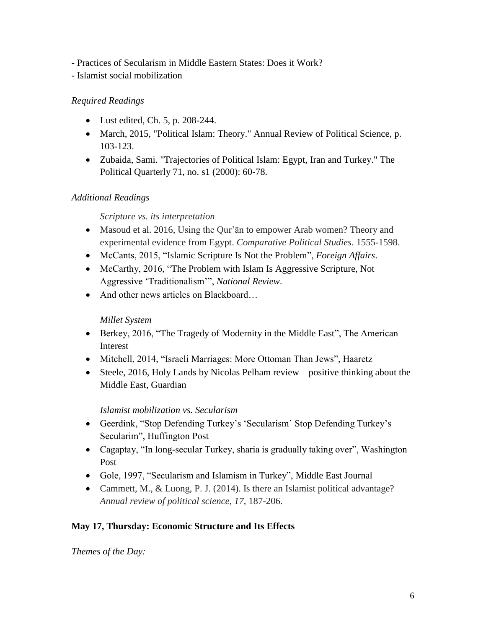- Practices of Secularism in Middle Eastern States: Does it Work?

- Islamist social mobilization

### *Required Readings*

- Lust edited, Ch. 5, p. 208-244.
- March, 2015, "Political Islam: Theory." Annual Review of Political Science, p. 103-123.
- Zubaida, Sami. "Trajectories of Political Islam: Egypt, Iran and Turkey." The Political Quarterly 71, no. s1 (2000): 60-78.

### *Additional Readings*

### *Scripture vs. its interpretation*

- Masoud et al. 2016, Using the Qur'an to empower Arab women? Theory and experimental evidence from Egypt. *Comparative Political Studies*. 1555-1598.
- McCants, 2015, "Islamic Scripture Is Not the Problem", *Foreign Affairs*.
- McCarthy, 2016, "The Problem with Islam Is Aggressive Scripture, Not Aggressive 'Traditionalism'", *National Review*.
- And other news articles on Blackboard...

### *Millet System*

- Berkey, 2016, "The Tragedy of Modernity in the Middle East", The American Interest
- Mitchell, 2014, "Israeli Marriages: More Ottoman Than Jews", Haaretz
- Steele, 2016, Holy Lands by Nicolas Pelham review positive thinking about the Middle East, Guardian

### *Islamist mobilization vs. Secularism*

- Geerdink, "Stop Defending Turkey's 'Secularism' Stop Defending Turkey's Secularim", Huffington Post
- Cagaptay, "In long-secular Turkey, sharia is gradually taking over", Washington Post
- Gole, 1997, "Secularism and Islamism in Turkey", Middle East Journal
- Cammett, M., & Luong, P. J. (2014). Is there an Islamist political advantage? *Annual review of political science*, *17*, 187-206.

# **May 17, Thursday: Economic Structure and Its Effects**

*Themes of the Day:*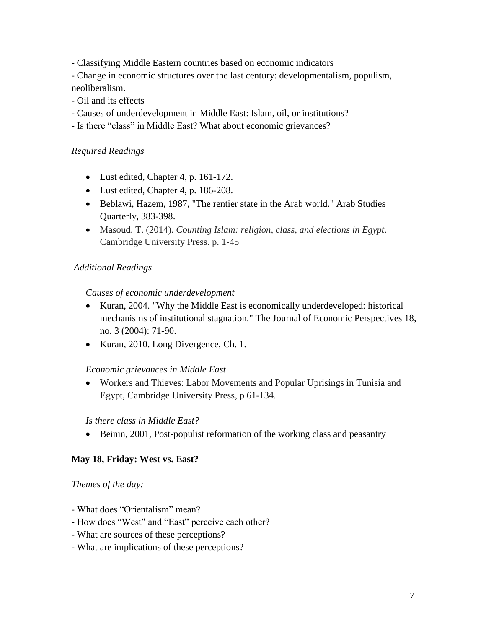- Classifying Middle Eastern countries based on economic indicators

- Change in economic structures over the last century: developmentalism, populism, neoliberalism.

- Oil and its effects

- Causes of underdevelopment in Middle East: Islam, oil, or institutions?

- Is there "class" in Middle East? What about economic grievances?

### *Required Readings*

- Lust edited, Chapter 4, p. 161-172.
- Lust edited, Chapter 4, p. 186-208.
- Beblawi, Hazem, 1987, "The rentier state in the Arab world." Arab Studies Quarterly, 383-398.
- Masoud, T. (2014). *Counting Islam: religion, class, and elections in Egypt*. Cambridge University Press. p. 1-45

#### *Additional Readings*

#### *Causes of economic underdevelopment*

- Kuran, 2004. "Why the Middle East is economically underdeveloped: historical mechanisms of institutional stagnation." The Journal of Economic Perspectives 18, no. 3 (2004): 71-90.
- Kuran, 2010. Long Divergence, Ch. 1.

#### *Economic grievances in Middle East*

• Workers and Thieves: Labor Movements and Popular Uprisings in Tunisia and Egypt, Cambridge University Press, p 61-134.

#### *Is there class in Middle East?*

• Beinin, 2001, Post-populist reformation of the working class and peasantry

#### **May 18, Friday: West vs. East?**

#### *Themes of the day:*

- *-* What does "Orientalism" mean?
- How does "West" and "East" perceive each other?
- What are sources of these perceptions?
- What are implications of these perceptions?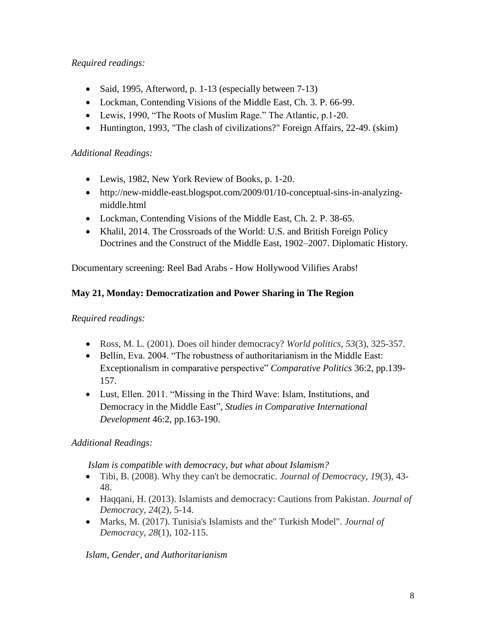### *Required readings:*

- Said, 1995, Afterword, p. 1-13 (especially between 7-13)
- Lockman, Contending Visions of the Middle East, Ch. 3. P. 66-99.
- Lewis, 1990, "The Roots of Muslim Rage." The Atlantic, p.1-20.
- Huntington, 1993, "The clash of civilizations?" Foreign Affairs, 22-49. (skim)

#### *Additional Readings:*

- Lewis, 1982, New York Review of Books, p. 1-20.
- http://new-middle-east.blogspot.com/2009/01/10-conceptual-sins-in-analyzingmiddle.html
- Lockman, Contending Visions of the Middle East, Ch. 2. P. 38-65.
- Khalil, 2014. The Crossroads of the World: U.S. and British Foreign Policy Doctrines and the Construct of the Middle East, 1902–2007. Diplomatic History.

Documentary screening: Reel Bad Arabs - How Hollywood Vilifies Arabs!

#### **May 21, Monday: Democratization and Power Sharing in The Region**

#### *Required readings:*

- Ross, M. L. (2001). Does oil hinder democracy? *World politics*, *53*(3), 325-357.
- Bellin, Eva. 2004. "The robustness of authoritarianism in the Middle East: Exceptionalism in comparative perspective" *Comparative Politics* 36:2, pp.139- 157.
- Lust, Ellen. 2011. "Missing in the Third Wave: Islam, Institutions, and Democracy in the Middle East", *Studies in Comparative International Development* 46:2, pp.163-190.

### *Additional Readings:*

 *Islam is compatible with democracy, but what about Islamism?*

- Tibi, B. (2008). Why they can't be democratic. *Journal of Democracy*, *19*(3), 43- 48.
- Haqqani, H. (2013). Islamists and democracy: Cautions from Pakistan. *Journal of Democracy*, *24*(2), 5-14.
- Marks, M. (2017). Tunisia's Islamists and the" Turkish Model". *Journal of Democracy*, *28*(1), 102-115.

#### *Islam, Gender, and Authoritarianism*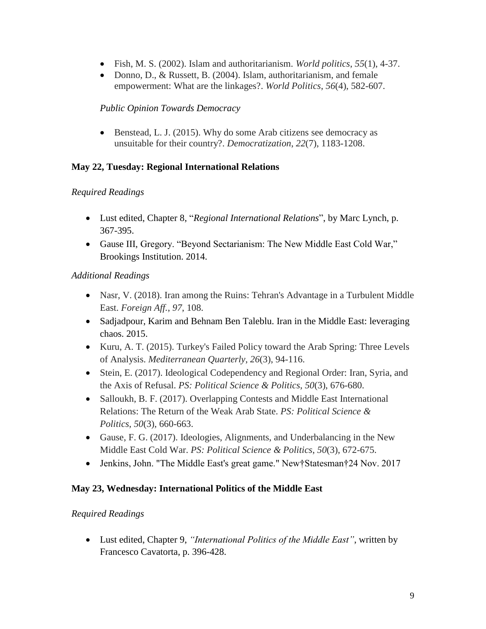- Fish, M. S. (2002). Islam and authoritarianism. *World politics*, *55*(1), 4-37.
- Donno, D., & Russett, B. (2004). Islam, authoritarianism, and female empowerment: What are the linkages?. *World Politics*, *56*(4), 582-607.

#### *Public Opinion Towards Democracy*

• Benstead, L. J. (2015). Why do some Arab citizens see democracy as unsuitable for their country?. *Democratization*, *22*(7), 1183-1208.

#### **May 22, Tuesday: Regional International Relations**

#### *Required Readings*

- Lust edited, Chapter 8, "*Regional International Relations*", by Marc Lynch, p. 367-395.
- Gause III, Gregory. "Beyond Sectarianism: The New Middle East Cold War," Brookings Institution. 2014.

#### *Additional Readings*

- Nasr, V. (2018). Iran among the Ruins: Tehran's Advantage in a Turbulent Middle East. *Foreign Aff.*, *97*, 108.
- Sadjadpour, Karim and Behnam Ben Taleblu. Iran in the Middle East: leveraging chaos. 2015.
- Kuru, A. T. (2015). Turkey's Failed Policy toward the Arab Spring: Three Levels of Analysis. *Mediterranean Quarterly*, *26*(3), 94-116.
- Stein, E. (2017). Ideological Codependency and Regional Order: Iran, Syria, and the Axis of Refusal. *PS: Political Science & Politics*, *50*(3), 676-680.
- Salloukh, B. F. (2017). Overlapping Contests and Middle East International Relations: The Return of the Weak Arab State. *PS: Political Science & Politics*, *50*(3), 660-663.
- Gause, F. G. (2017). Ideologies, Alignments, and Underbalancing in the New Middle East Cold War. *PS: Political Science & Politics*, *50*(3), 672-675.
- Jenkins, John. "The Middle East's great game." New†Statesman†24 Nov. 2017

#### **May 23, Wednesday: International Politics of the Middle East**

#### *Required Readings*

• Lust edited, Chapter 9, *"International Politics of the Middle East"*, written by Francesco Cavatorta, p. 396-428.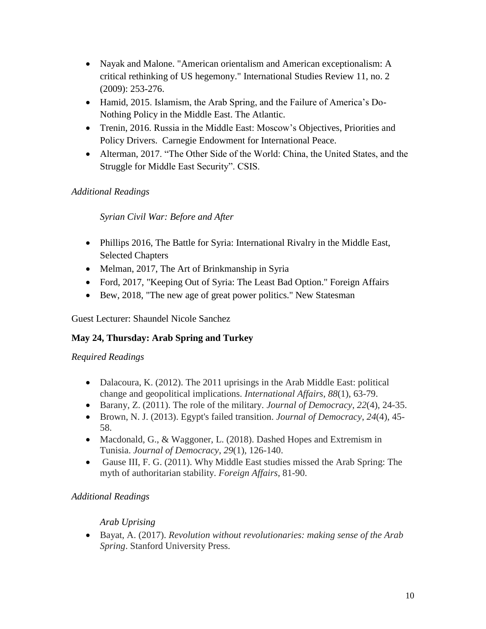- Nayak and Malone. "American orientalism and American exceptionalism: A critical rethinking of US hegemony." International Studies Review 11, no. 2 (2009): 253-276.
- Hamid, 2015. Islamism, the Arab Spring, and the Failure of America's Do-Nothing Policy in the Middle East. The Atlantic.
- Trenin, 2016. Russia in the Middle East: Moscow's Objectives, Priorities and Policy Drivers. Carnegie Endowment for International Peace.
- Alterman, 2017. "The Other Side of the World: China, the United States, and the Struggle for Middle East Security". CSIS.

### *Additional Readings*

### *Syrian Civil War: Before and After*

- Phillips 2016, The Battle for Syria: International Rivalry in the Middle East, Selected Chapters
- Melman, 2017, The Art of Brinkmanship in Syria
- Ford, 2017, "Keeping Out of Syria: The Least Bad Option." Foreign Affairs
- Bew, 2018, "The new age of great power politics." New Statesman

Guest Lecturer: Shaundel Nicole Sanchez

### **May 24, Thursday: Arab Spring and Turkey**

### *Required Readings*

- Dalacoura, K. (2012). The 2011 uprisings in the Arab Middle East: political change and geopolitical implications. *International Affairs*, *88*(1), 63-79.
- Barany, Z. (2011). The role of the military. *Journal of Democracy*, *22*(4), 24-35.
- Brown, N. J. (2013). Egypt's failed transition. *Journal of Democracy*, *24*(4), 45- 58.
- Macdonald, G., & Waggoner, L. (2018). Dashed Hopes and Extremism in Tunisia. *Journal of Democracy*, *29*(1), 126-140.
- Gause III, F. G. (2011). Why Middle East studies missed the Arab Spring: The myth of authoritarian stability. *Foreign Affairs*, 81-90.

### *Additional Readings*

### *Arab Uprising*

• Bayat, A. (2017). *Revolution without revolutionaries: making sense of the Arab Spring*. Stanford University Press.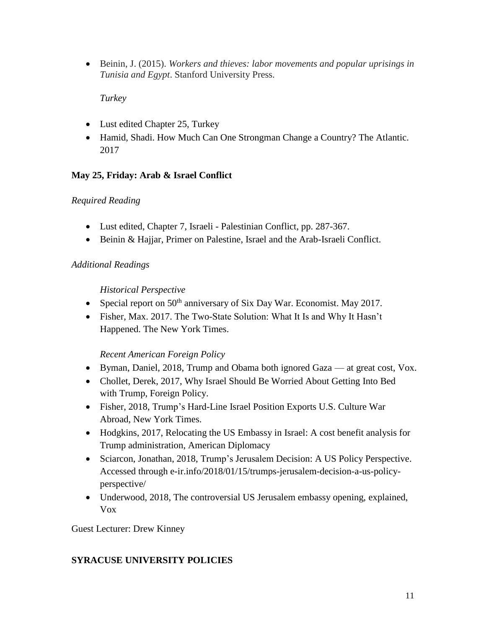• Beinin, J. (2015). *Workers and thieves: labor movements and popular uprisings in Tunisia and Egypt*. Stanford University Press.

*Turkey*

- Lust edited Chapter 25, Turkey
- Hamid, Shadi. How Much Can One Strongman Change a Country? The Atlantic. 2017

### **May 25, Friday: Arab & Israel Conflict**

### *Required Reading*

- Lust edited, Chapter 7, Israeli Palestinian Conflict, pp. 287-367.
- Beinin & Hajjar, Primer on Palestine, Israel and the Arab-Israeli Conflict.

### *Additional Readings*

### *Historical Perspective*

- Special report on  $50<sup>th</sup>$  anniversary of Six Day War. Economist. May 2017.
- Fisher, Max. 2017. The Two-State Solution: What It Is and Why It Hasn't Happened. The New York Times.

# *Recent American Foreign Policy*

- Byman, Daniel, 2018, Trump and Obama both ignored Gaza at great cost, Vox.
- Chollet, Derek, 2017, Why Israel Should Be Worried About Getting Into Bed with Trump, Foreign Policy.
- Fisher, 2018, Trump's Hard-Line Israel Position Exports U.S. Culture War Abroad, New York Times.
- Hodgkins, 2017, Relocating the US Embassy in Israel: A cost benefit analysis for Trump administration, American Diplomacy
- Sciarcon, Jonathan, 2018, Trump's Jerusalem Decision: A US Policy Perspective. Accessed through e-ir.info/2018/01/15/trumps-jerusalem-decision-a-us-policyperspective/
- Underwood, 2018, The controversial US Jerusalem embassy opening, explained, Vox

Guest Lecturer: Drew Kinney

# **SYRACUSE UNIVERSITY POLICIES**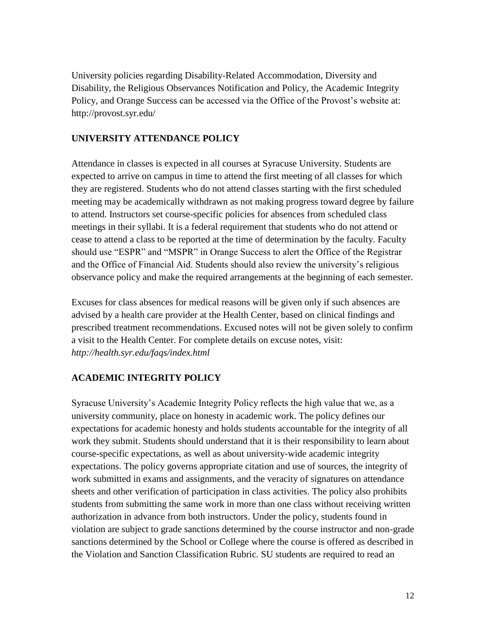University policies regarding Disability-Related Accommodation, Diversity and Disability, the Religious Observances Notification and Policy, the Academic Integrity Policy, and Orange Success can be accessed via the Office of the Provost's website at: http://provost.syr.edu/

#### **UNIVERSITY ATTENDANCE POLICY**

Attendance in classes is expected in all courses at Syracuse University. Students are expected to arrive on campus in time to attend the first meeting of all classes for which they are registered. Students who do not attend classes starting with the first scheduled meeting may be academically withdrawn as not making progress toward degree by failure to attend. Instructors set course-specific policies for absences from scheduled class meetings in their syllabi. It is a federal requirement that students who do not attend or cease to attend a class to be reported at the time of determination by the faculty. Faculty should use "ESPR" and "MSPR" in Orange Success to alert the Office of the Registrar and the Office of Financial Aid. Students should also review the university's religious observance policy and make the required arrangements at the beginning of each semester.

Excuses for class absences for medical reasons will be given only if such absences are advised by a health care provider at the Health Center, based on clinical findings and prescribed treatment recommendations. Excused notes will not be given solely to confirm a visit to the Health Center. For complete details on excuse notes, visit: *http://health.syr.edu/faqs/index.html*

#### **ACADEMIC INTEGRITY POLICY**

Syracuse University's Academic Integrity Policy reflects the high value that we, as a university community, place on honesty in academic work. The policy defines our expectations for academic honesty and holds students accountable for the integrity of all work they submit. Students should understand that it is their responsibility to learn about course-specific expectations, as well as about university-wide academic integrity expectations. The policy governs appropriate citation and use of sources, the integrity of work submitted in exams and assignments, and the veracity of signatures on attendance sheets and other verification of participation in class activities. The policy also prohibits students from submitting the same work in more than one class without receiving written authorization in advance from both instructors. Under the policy, students found in violation are subject to grade sanctions determined by the course instructor and non-grade sanctions determined by the School or College where the course is offered as described in the Violation and Sanction Classification Rubric. SU students are required to read an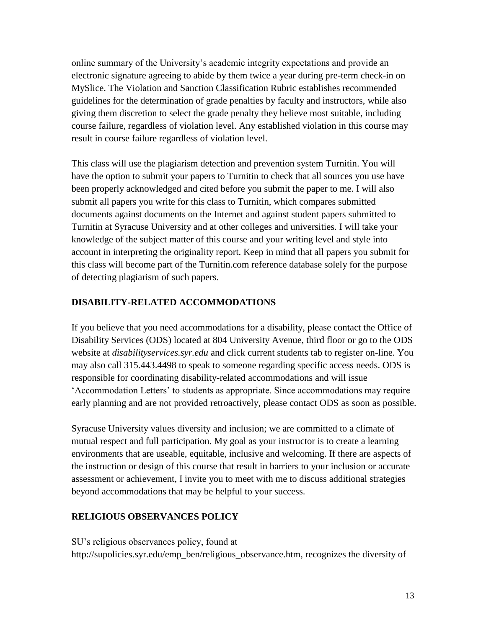online summary of the University's academic integrity expectations and provide an electronic signature agreeing to abide by them twice a year during pre-term check-in on MySlice. The Violation and Sanction Classification Rubric establishes recommended guidelines for the determination of grade penalties by faculty and instructors, while also giving them discretion to select the grade penalty they believe most suitable, including course failure, regardless of violation level. Any established violation in this course may result in course failure regardless of violation level.

This class will use the plagiarism detection and prevention system Turnitin. You will have the option to submit your papers to Turnitin to check that all sources you use have been properly acknowledged and cited before you submit the paper to me. I will also submit all papers you write for this class to Turnitin, which compares submitted documents against documents on the Internet and against student papers submitted to Turnitin at Syracuse University and at other colleges and universities. I will take your knowledge of the subject matter of this course and your writing level and style into account in interpreting the originality report. Keep in mind that all papers you submit for this class will become part of the Turnitin.com reference database solely for the purpose of detecting plagiarism of such papers.

#### **DISABILITY-RELATED ACCOMMODATIONS**

If you believe that you need accommodations for a disability, please contact the Office of Disability Services (ODS) located at 804 University Avenue, third floor or go to the ODS website at *disabilityservices.syr.edu* and click current students tab to register on-line. You may also call 315.443.4498 to speak to someone regarding specific access needs. ODS is responsible for coordinating disability-related accommodations and will issue 'Accommodation Letters' to students as appropriate. Since accommodations may require early planning and are not provided retroactively, please contact ODS as soon as possible.

Syracuse University values diversity and inclusion; we are committed to a climate of mutual respect and full participation. My goal as your instructor is to create a learning environments that are useable, equitable, inclusive and welcoming. If there are aspects of the instruction or design of this course that result in barriers to your inclusion or accurate assessment or achievement, I invite you to meet with me to discuss additional strategies beyond accommodations that may be helpful to your success.

#### **RELIGIOUS OBSERVANCES POLICY**

SU's religious observances policy, found at http://supolicies.syr.edu/emp\_ben/religious\_observance.htm, recognizes the diversity of